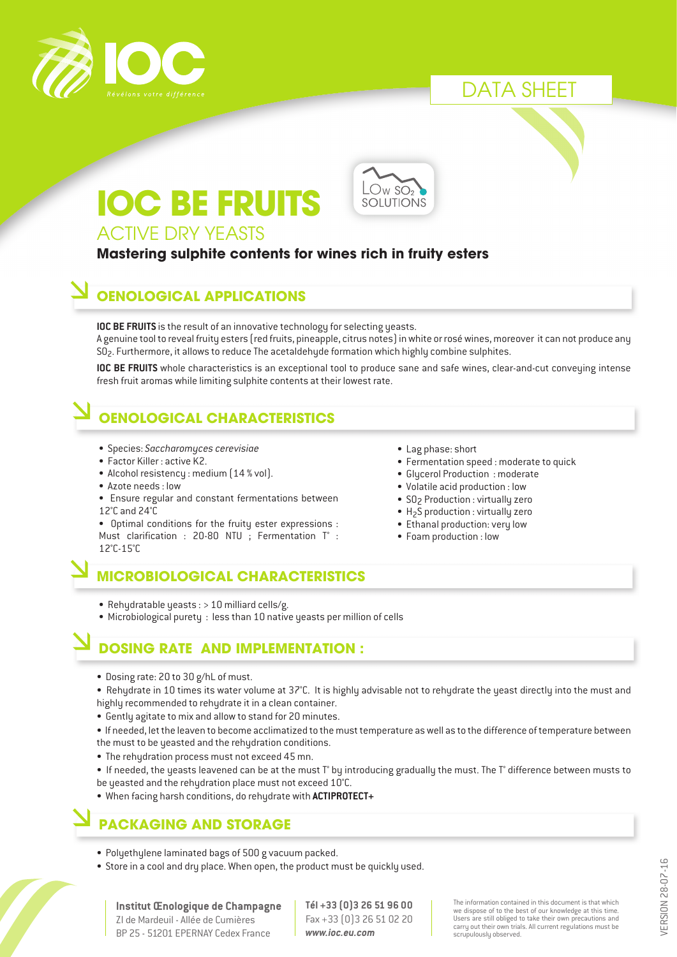

# DATA SHEET

# **IOC BE FRUITS**



## ACTIVE DRY YEASTS

#### **Mastering sulphite contents for wines rich in fruity esters**

## **OENOLOGICAL APPLICATIONS**

**IOC BE FRUITS** is the result of an innovative technology for selecting yeasts. A genuine tool to reveal fruity esters (red fruits, pineapple, citrus notes) in white or rosé wines, moreover it can not produce any  $SO<sub>2</sub>$ . Furthermore, it allows to reduce The acetaldehyde formation which highly combine sulphites.

**IOC BE FRUITS** whole characteristics is an exceptional tool to produce sane and safe wines, clear-and-cut conveying intense fresh fruit aromas while limiting sulphite contents at their lowest rate.

# **OENOLOGICAL CHARACTERISTICS**

- Species: *Saccharomyces cerevisiae*
- Factor Killer : active K2.
- Alcohol resistency : medium (14 % vol).
- Azote needs : low
- Ensure regular and constant fermentations between
- 12°C and 24°C

• Optimal conditions for the fruity ester expressions : Must clarification : 20-80 NTU ; Fermentation T° : 12°C-15°C

- Lag phase: short
- Fermentation speed : moderate to quick
- Glycerol Production : moderate
- Volatile acid production : low
- SO<sub>2</sub> Production : virtually zero
- $H<sub>2</sub>S$  production : virtually zero
- Ethanal production: very low
- Foam production : low
- 
- Rehydratable yeasts : > 10 milliard cells/g.
- Microbiological purety : less than 10 native yeasts per million of cells

## **DOSING RATE AND IMPLEMENTATION :**

**MICROBIOLOGICAL CHARACTERISTICS**

- Dosing rate: 20 to 30 g/hL of must.
- Rehydrate in 10 times its water volume at 37°C. It is highly advisable not to rehydrate the yeast directly into the must and highly recommended to rehydrate it in a clean container.
- Gently agitate to mix and allow to stand for 20 minutes.
- If needed, let the leaven to become acclimatized to the must temperature as well as to the difference of temperature between the must to be yeasted and the rehydration conditions.
- The rehydration process must not exceed 45 mn.
- If needed, the yeasts leavened can be at the must T° by introducing gradually the must. The T° difference between musts to be yeasted and the rehydration place must not exceed 10°C.
- When facing harsh conditions, do rehydrate with **ACTIPROTECT+**

## **PACKAGING AND STORAGE**

- Polyethylene laminated bags of 500 g vacuum packed.
- Store in a cool and dry place. When open, the product must be quickly used.

**Institut Œnologique de Champagne** ZI de Mardeuil - Allée de Cumières BP 25 - 51201 EPERNAY Cedex France

**Tél +33 (0)3 26 51 96 00** Fax +33 (0)3 26 51 02 20 *www.ioc.eu.com*

The information contained in this document is that which we dispose of to the best of our knowledge at this time. Users are still obliged to take their own precautions and carry out their own trials. All current regulations must be scrupulously observed.